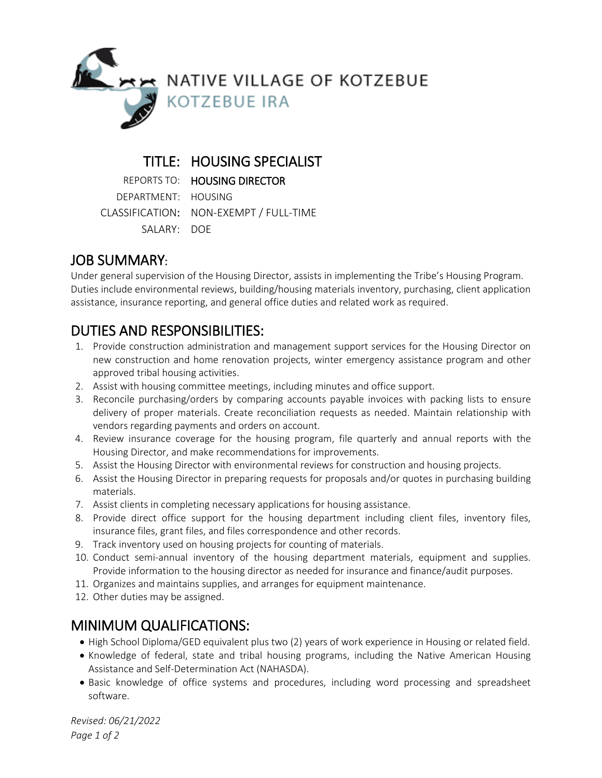

### TITLE: HOUSING SPECIALIST

REPORTS TO: HOUSING DIRECTOR

DEPARTMENT: HOUSING CLASSIFICATION: NON-EXEMPT / FULL-TIME SALARY: DOE

# JOB SUMMARY:

Under general supervision of the Housing Director, assists in implementing the Tribe's Housing Program. Duties include environmental reviews, building/housing materials inventory, purchasing, client application assistance, insurance reporting, and general office duties and related work as required.

- DUTIES AND RESPONSIBILITIES:<br>1. Provide construction administration and management support services for the Housing Director on new construction and home renovation projects, winter emergency assistance program and other approved tribal housing activities.
- 2. Assist with housing committee meetings, including minutes and office support.
- 3. Reconcile purchasing/orders by comparing accounts payable invoices with packing lists to ensure delivery of proper materials. Create reconciliation requests as needed. Maintain relationship with vendors regarding payments and orders on account.
- 4. Review insurance coverage for the housing program, file quarterly and annual reports with the Housing Director, and make recommendations for improvements.
- 5. Assist the Housing Director with environmental reviews for construction and housing projects.
- 6. Assist the Housing Director in preparing requests for proposals and/or quotes in purchasing building materials.
- 7. Assist clients in completing necessary applications for housing assistance.
- 8. Provide direct office support for the housing department including client files, inventory files, insurance files, grant files, and files correspondence and other records.
- 9. Track inventory used on housing projects for counting of materials.
- 10. Conduct semi-annual inventory of the housing department materials, equipment and supplies. Provide information to the housing director as needed for insurance and finance/audit purposes.
- 11. Organizes and maintains supplies, and arranges for equipment maintenance.
- 12. Other duties may be assigned.

# MINIMUM QUALIFICATIONS:

- High School Diploma/GED equivalent plus two (2) years of work experience in Housing or related field.
- Knowledge of federal, state and tribal housing programs, including the Native American Housing Assistance and Self-Determination Act (NAHASDA).
- Basic knowledge of office systems and procedures, including word processing and spreadsheet software.

*Revised: 06/21/2022 Page 1 of 2*